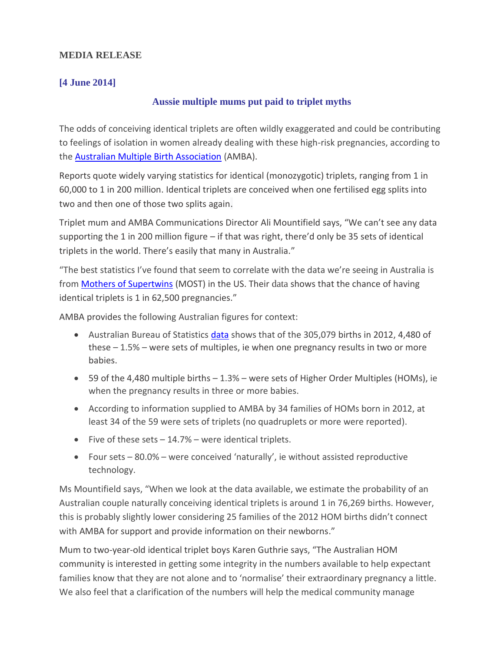## **MEDIA RELEASE**

## **[4 June 2014]**

## **Aussie multiple mums put paid to triplet myths**

The odds of conceiving identical triplets are often wildly exaggerated and could be contributing to feelings of isolation in women already dealing with these high-risk pregnancies, according to the [Australian Multiple Birth Association](http://www.amba.org.au/) (AMBA).

Reports quote widely varying statistics for identical (monozygotic) triplets, ranging from 1 in 60,000 to 1 in 200 million. Identical triplets are conceived when one fertilised egg splits into two and then one of those two splits again.

Triplet mum and AMBA Communications Director Ali Mountifield says, "We can't see any data supporting the 1 in 200 million figure – if that was right, there'd only be 35 sets of identical triplets in the world. There's easily that many in Australia."

"The best statistics I've found that seem to correlate with the data we're seeing in Australia is from **Mothers of Supertwins** (MOST) in the US. Their [data](http://www.mostonline.org/facts_outsideresources.htm) shows that the chance of having identical triplets is 1 in 62,500 pregnancies."

AMBA provides the following Australian figures for context:

- Australian Bureau of Statistics *data* shows that of the 305,079 births in 2012, 4,480 of these – 1.5% – were sets of multiples, ie when one pregnancy results in two or more babies.
- 59 of the 4,480 multiple births 1.3% were sets of Higher Order Multiples (HOMs), ie when the pregnancy results in three or more babies.
- According to information supplied to AMBA by 34 families of HOMs born in 2012, at least 34 of the 59 were sets of triplets (no quadruplets or more were reported).
- Five of these sets  $-14.7%$  were identical triplets.
- Four sets 80.0% were conceived 'naturally', ie without assisted reproductive technology.

Ms Mountifield says, "When we look at the data available, we estimate the probability of an Australian couple naturally conceiving identical triplets is around 1 in 76,269 births. However, this is probably slightly lower considering 25 families of the 2012 HOM births didn't connect with AMBA for support and provide information on their newborns."

Mum to two-year-old identical triplet boys Karen Guthrie says, "The Australian HOM community is interested in getting some integrity in the numbers available to help expectant families know that they are not alone and to 'normalise' their extraordinary pregnancy a little. We also feel that a clarification of the numbers will help the medical community manage